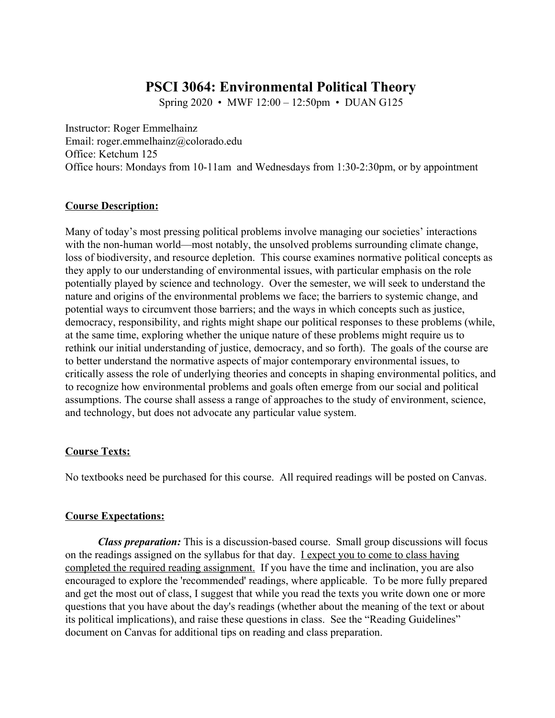# **PSCI 3064: Environmental Political Theory**

Spring 2020 • MWF 12:00 – 12:50pm • DUAN G125

Instructor: Roger Emmelhainz Email: roger.emmelhainz@colorado.edu Office: Ketchum 125 Office hours: Mondays from 10-11am and Wednesdays from 1:30-2:30pm, or by appointment

### **Course Description:**

Many of today's most pressing political problems involve managing our societies' interactions with the non-human world—most notably, the unsolved problems surrounding climate change, loss of biodiversity, and resource depletion. This course examines normative political concepts as they apply to our understanding of environmental issues, with particular emphasis on the role potentially played by science and technology. Over the semester, we will seek to understand the nature and origins of the environmental problems we face; the barriers to systemic change, and potential ways to circumvent those barriers; and the ways in which concepts such as justice, democracy, responsibility, and rights might shape our political responses to these problems (while, at the same time, exploring whether the unique nature of these problems might require us to rethink our initial understanding of justice, democracy, and so forth). The goals of the course are to better understand the normative aspects of major contemporary environmental issues, to critically assess the role of underlying theories and concepts in shaping environmental politics, and to recognize how environmental problems and goals often emerge from our social and political assumptions. The course shall assess a range of approaches to the study of environment, science, and technology, but does not advocate any particular value system.

#### **Course Texts:**

No textbooks need be purchased for this course. All required readings will be posted on Canvas.

#### **Course Expectations:**

*Class preparation:* This is a discussion-based course. Small group discussions will focus on the readings assigned on the syllabus for that day. I expect you to come to class having completed the required reading assignment. If you have the time and inclination, you are also encouraged to explore the 'recommended' readings, where applicable. To be more fully prepared and get the most out of class, I suggest that while you read the texts you write down one or more questions that you have about the day's readings (whether about the meaning of the text or about its political implications), and raise these questions in class. See the "Reading Guidelines" document on Canvas for additional tips on reading and class preparation.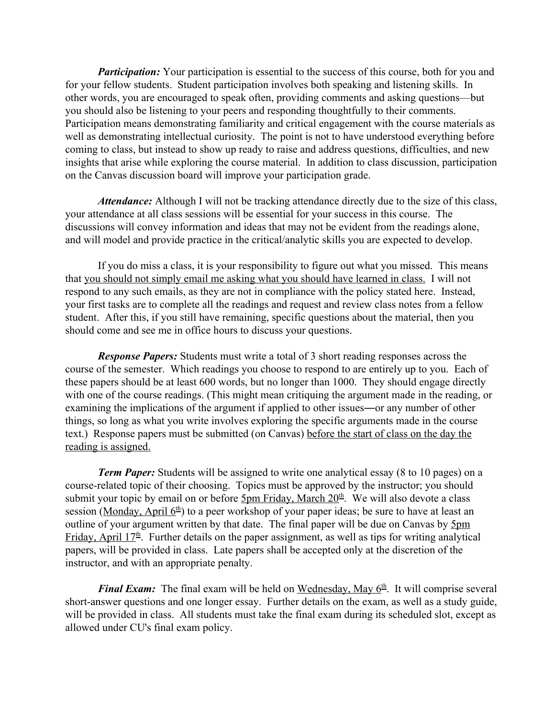*Participation:* Your participation is essential to the success of this course, both for you and for your fellow students. Student participation involves both speaking and listening skills. In other words, you are encouraged to speak often, providing comments and asking questions—but you should also be listening to your peers and responding thoughtfully to their comments. Participation means demonstrating familiarity and critical engagement with the course materials as well as demonstrating intellectual curiosity. The point is not to have understood everything before coming to class, but instead to show up ready to raise and address questions, difficulties, and new insights that arise while exploring the course material. In addition to class discussion, participation on the Canvas discussion board will improve your participation grade.

*Attendance:* Although I will not be tracking attendance directly due to the size of this class, your attendance at all class sessions will be essential for your success in this course. The discussions will convey information and ideas that may not be evident from the readings alone, and will model and provide practice in the critical/analytic skills you are expected to develop.

If you do miss a class, it is your responsibility to figure out what you missed. This means that you should not simply email me asking what you should have learned in class. I will not respond to any such emails, as they are not in compliance with the policy stated here. Instead, your first tasks are to complete all the readings and request and review class notes from a fellow student. After this, if you still have remaining, specific questions about the material, then you should come and see me in office hours to discuss your questions.

*Response Papers:* Students must write a total of 3 short reading responses across the course of the semester. Which readings you choose to respond to are entirely up to you. Each of these papers should be at least 600 words, but no longer than 1000. They should engage directly with one of the course readings. (This might mean critiquing the argument made in the reading, or examining the implications of the argument if applied to other issues―or any number of other things, so long as what you write involves exploring the specific arguments made in the course text.) Response papers must be submitted (on Canvas) before the start of class on the day the reading is assigned.

*Term Paper:* Students will be assigned to write one analytical essay (8 to 10 pages) on a course-related topic of their choosing. Topics must be approved by the instructor; you should submit your topic by email on or before **5pm Friday, March 20<sup>th</sup>**. We will also devote a class session (Monday, April 6<sup>th</sup>) to a peer workshop of your paper ideas; be sure to have at least an outline of your argument written by that date. The final paper will be due on Canvas by 5pm Friday, April  $17<sup>th</sup>$ . Further details on the paper assignment, as well as tips for writing analytical papers, will be provided in class. Late papers shall be accepted only at the discretion of the instructor, and with an appropriate penalty.

*Final Exam:* The final exam will be held on Wednesday, May 6<sup>th</sup>. It will comprise several short-answer questions and one longer essay. Further details on the exam, as well as a study guide, will be provided in class. All students must take the final exam during its scheduled slot, except as allowed under CU's final exam policy.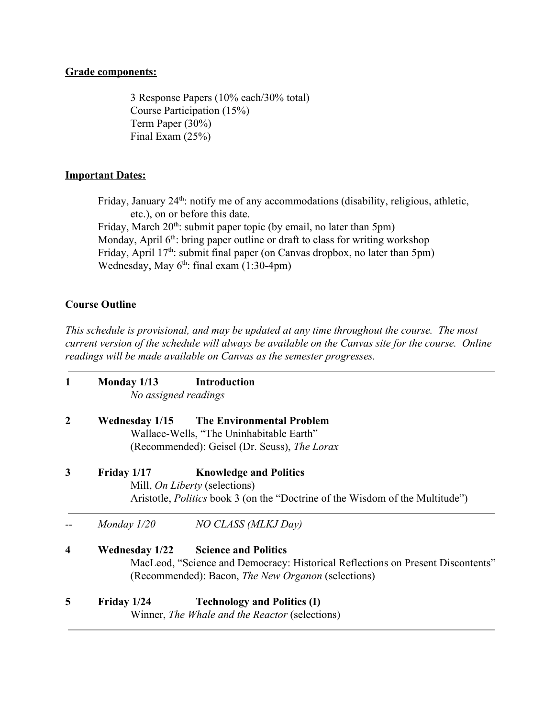## **Grade components:**

3 Response Papers (10% each/30% total) Course Participation (15%) Term Paper (30%) Final Exam (25%)

## **Important Dates:**

Friday, January 24<sup>th</sup>: notify me of any accommodations (disability, religious, athletic, etc.), on or before this date. Friday, March 20<sup>th</sup>: submit paper topic (by email, no later than 5pm) Monday, April  $6<sup>th</sup>$ : bring paper outline or draft to class for writing workshop Friday, April 17<sup>th</sup>: submit final paper (on Canvas dropbox, no later than 5pm) Wednesday, May  $6<sup>th</sup>$ : final exam  $(1:30-4pm)$ 

## **Course Outline**

*This schedule is provisional, and may be updated at any time throughout the course. The most current version of the schedule will always be available on the Canvas site for the course. Online readings will be made available on Canvas as the semester progresses.*

| $\mathbf{1}$     | Monday 1/13                                                                     | <b>Introduction</b>                                                                  |  |  |
|------------------|---------------------------------------------------------------------------------|--------------------------------------------------------------------------------------|--|--|
|                  | No assigned readings                                                            |                                                                                      |  |  |
| $\boldsymbol{2}$ |                                                                                 | Wednesday 1/15 The Environmental Problem                                             |  |  |
|                  | Wallace-Wells, "The Uninhabitable Earth"                                        |                                                                                      |  |  |
|                  |                                                                                 | (Recommended): Geisel (Dr. Seuss), The Lorax                                         |  |  |
| 3                | Friday 1/17                                                                     | <b>Knowledge and Politics</b>                                                        |  |  |
|                  | Mill, <i>On Liberty</i> (selections)                                            |                                                                                      |  |  |
|                  |                                                                                 | Aristotle, <i>Politics</i> book 3 (on the "Doctrine of the Wisdom of the Multitude") |  |  |
|                  | Monday $1/20$                                                                   | NO CLASS (MLKJ Day)                                                                  |  |  |
| 4                | <b>Wednesday 1/22</b>                                                           | <b>Science and Politics</b>                                                          |  |  |
|                  | MacLeod, "Science and Democracy: Historical Reflections on Present Discontents" |                                                                                      |  |  |
|                  |                                                                                 | (Recommended): Bacon, <i>The New Organon</i> (selections)                            |  |  |
| 5                | Friday 1/24                                                                     | <b>Technology and Politics (I)</b>                                                   |  |  |
|                  | Winner, <i>The Whale and the Reactor</i> (selections)                           |                                                                                      |  |  |
|                  |                                                                                 |                                                                                      |  |  |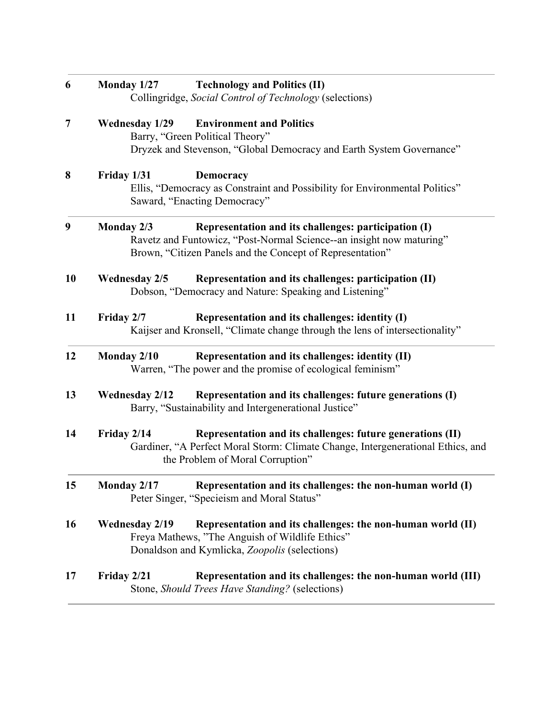| 6  | Monday $1/27$<br><b>Technology and Politics (II)</b><br>Collingridge, Social Control of Technology (selections)                                                                                         |  |
|----|---------------------------------------------------------------------------------------------------------------------------------------------------------------------------------------------------------|--|
| 7  | <b>Wednesday 1/29</b><br><b>Environment and Politics</b><br>Barry, "Green Political Theory"<br>Dryzek and Stevenson, "Global Democracy and Earth System Governance"                                     |  |
| 8  | Friday 1/31<br><b>Democracy</b><br>Ellis, "Democracy as Constraint and Possibility for Environmental Politics"<br>Saward, "Enacting Democracy"                                                          |  |
| 9  | Monday 2/3<br>Representation and its challenges: participation (I)<br>Ravetz and Funtowicz, "Post-Normal Science--an insight now maturing"<br>Brown, "Citizen Panels and the Concept of Representation" |  |
| 10 | Representation and its challenges: participation (II)<br><b>Wednesday 2/5</b><br>Dobson, "Democracy and Nature: Speaking and Listening"                                                                 |  |
| 11 | Representation and its challenges: identity (I)<br>Friday 2/7<br>Kaijser and Kronsell, "Climate change through the lens of intersectionality"                                                           |  |
| 12 | Representation and its challenges: identity (II)<br>Monday 2/10<br>Warren, "The power and the promise of ecological feminism"                                                                           |  |
| 13 | Representation and its challenges: future generations (I)<br><b>Wednesday 2/12</b><br>Barry, "Sustainability and Intergenerational Justice"                                                             |  |
| 14 | Representation and its challenges: future generations (II)<br>Friday 2/14<br>Gardiner, "A Perfect Moral Storm: Climate Change, Intergenerational Ethics, and<br>the Problem of Moral Corruption"        |  |
| 15 | Monday 2/17 Representation and its challenges: the non-human world (I)<br>Peter Singer, "Specieism and Moral Status"                                                                                    |  |
| 16 | <b>Wednesday 2/19</b><br>Representation and its challenges: the non-human world (II)<br>Freya Mathews, "The Anguish of Wildlife Ethics"<br>Donaldson and Kymlicka, Zoopolis (selections)                |  |
| 17 | Friday 2/21<br>Representation and its challenges: the non-human world (III)<br>Stone, Should Trees Have Standing? (selections)                                                                          |  |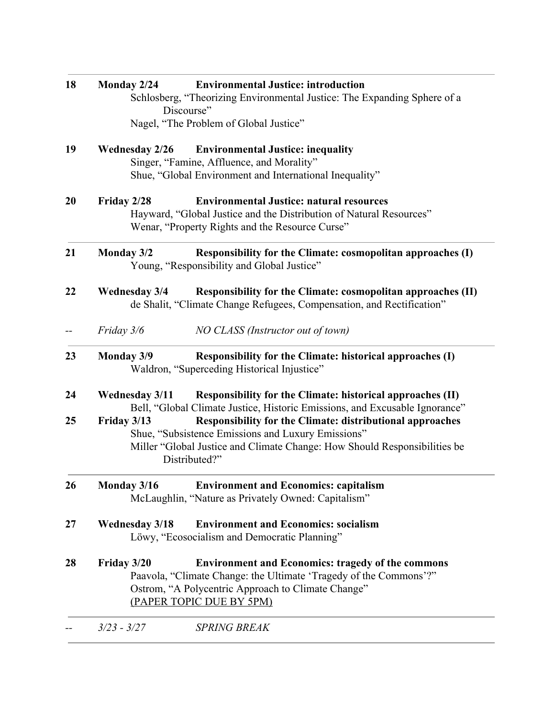| 18 | Monday 2/24                                                               | <b>Environmental Justice: introduction</b>                                             |  |  |
|----|---------------------------------------------------------------------------|----------------------------------------------------------------------------------------|--|--|
|    |                                                                           | Schlosberg, "Theorizing Environmental Justice: The Expanding Sphere of a<br>Discourse" |  |  |
|    |                                                                           | Nagel, "The Problem of Global Justice"                                                 |  |  |
|    |                                                                           |                                                                                        |  |  |
| 19 | <b>Wednesday 2/26</b><br><b>Environmental Justice: inequality</b>         |                                                                                        |  |  |
|    |                                                                           | Singer, "Famine, Affluence, and Morality"                                              |  |  |
|    |                                                                           | Shue, "Global Environment and International Inequality"                                |  |  |
| 20 | Friday 2/28                                                               | <b>Environmental Justice: natural resources</b>                                        |  |  |
|    | Hayward, "Global Justice and the Distribution of Natural Resources"       |                                                                                        |  |  |
|    |                                                                           | Wenar, "Property Rights and the Resource Curse"                                        |  |  |
| 21 | <b>Monday 3/2</b>                                                         | Responsibility for the Climate: cosmopolitan approaches (I)                            |  |  |
|    |                                                                           | Young, "Responsibility and Global Justice"                                             |  |  |
| 22 | <b>Wednesday 3/4</b>                                                      | Responsibility for the Climate: cosmopolitan approaches (II)                           |  |  |
|    |                                                                           | de Shalit, "Climate Change Refugees, Compensation, and Rectification"                  |  |  |
|    | Friday 3/6                                                                | NO CLASS (Instructor out of town)                                                      |  |  |
| 23 | <b>Monday 3/9</b>                                                         | Responsibility for the Climate: historical approaches (I)                              |  |  |
|    |                                                                           | Waldron, "Superceding Historical Injustice"                                            |  |  |
| 24 | <b>Wednesday 3/11</b>                                                     | Responsibility for the Climate: historical approaches (II)                             |  |  |
|    |                                                                           | Bell, "Global Climate Justice, Historic Emissions, and Excusable Ignorance"            |  |  |
| 25 | Friday 3/13                                                               | Responsibility for the Climate: distributional approaches                              |  |  |
|    |                                                                           | Shue, "Subsistence Emissions and Luxury Emissions"                                     |  |  |
|    | Miller "Global Justice and Climate Change: How Should Responsibilities be |                                                                                        |  |  |
|    |                                                                           | Distributed?"                                                                          |  |  |
| 26 | Monday 3/16                                                               | <b>Environment and Economics: capitalism</b>                                           |  |  |
|    |                                                                           | McLaughlin, "Nature as Privately Owned: Capitalism"                                    |  |  |
|    |                                                                           |                                                                                        |  |  |
| 27 | <b>Wednesday 3/18</b><br><b>Environment and Economics: socialism</b>      |                                                                                        |  |  |
|    |                                                                           | Löwy, "Ecosocialism and Democratic Planning"                                           |  |  |
| 28 | Friday 3/20                                                               | <b>Environment and Economics: tragedy of the commons</b>                               |  |  |
|    | Paavola, "Climate Change: the Ultimate 'Tragedy of the Commons'?"         |                                                                                        |  |  |
|    | Ostrom, "A Polycentric Approach to Climate Change"                        |                                                                                        |  |  |
|    |                                                                           | (PAPER TOPIC DUE BY 5PM)                                                               |  |  |
|    |                                                                           |                                                                                        |  |  |
|    | $3/23 - 3/27$                                                             | <b>SPRING BREAK</b>                                                                    |  |  |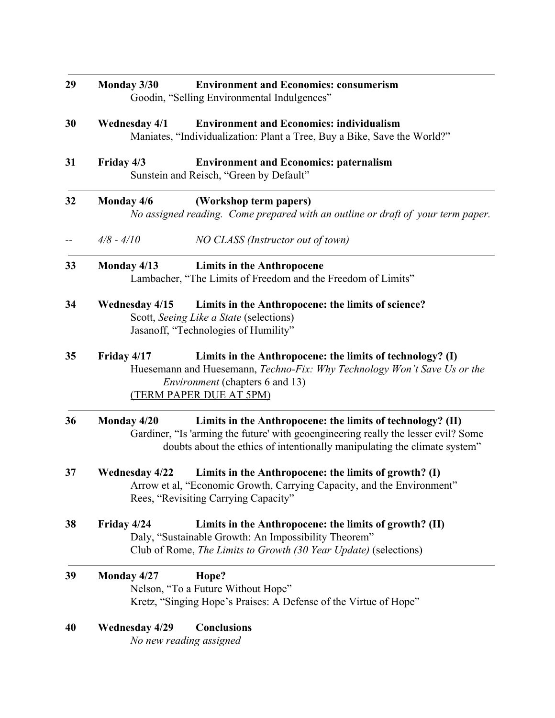| 29 | Monday 3/30<br><b>Environment and Economics: consumerism</b><br>Goodin, "Selling Environmental Indulgences"                                                                                                                                  |  |  |
|----|----------------------------------------------------------------------------------------------------------------------------------------------------------------------------------------------------------------------------------------------|--|--|
| 30 | <b>Environment and Economics: individualism</b><br><b>Wednesday 4/1</b><br>Maniates, "Individualization: Plant a Tree, Buy a Bike, Save the World?"                                                                                          |  |  |
| 31 | Friday 4/3<br><b>Environment and Economics: paternalism</b><br>Sunstein and Reisch, "Green by Default"                                                                                                                                       |  |  |
| 32 | Monday 4/6<br>(Workshop term papers)<br>No assigned reading. Come prepared with an outline or draft of your term paper.                                                                                                                      |  |  |
|    | $4/8 - 4/10$<br>NO CLASS (Instructor out of town)                                                                                                                                                                                            |  |  |
| 33 | Monday 4/13<br><b>Limits in the Anthropocene</b><br>Lambacher, "The Limits of Freedom and the Freedom of Limits"                                                                                                                             |  |  |
| 34 | Limits in the Anthropocene: the limits of science?<br><b>Wednesday 4/15</b><br>Scott, Seeing Like a State (selections)<br>Jasanoff, "Technologies of Humility"                                                                               |  |  |
| 35 | Friday 4/17<br>Limits in the Anthropocene: the limits of technology? (I)<br>Huesemann and Huesemann, Techno-Fix: Why Technology Won't Save Us or the<br><i>Environment</i> (chapters 6 and 13)<br>(TERM PAPER DUE AT 5PM)                    |  |  |
| 36 | Monday 4/20<br>Limits in the Anthropocene: the limits of technology? (II)<br>Gardiner, "Is 'arming the future' with geoengineering really the lesser evil? Some<br>doubts about the ethics of intentionally manipulating the climate system" |  |  |
| 37 | Limits in the Anthropocene: the limits of growth? (I)<br><b>Wednesday 4/22</b><br>Arrow et al, "Economic Growth, Carrying Capacity, and the Environment"<br>Rees, "Revisiting Carrying Capacity"                                             |  |  |
| 38 | Friday 4/24<br>Limits in the Anthropocene: the limits of growth? (II)<br>Daly, "Sustainable Growth: An Impossibility Theorem"<br>Club of Rome, The Limits to Growth (30 Year Update) (selections)                                            |  |  |
| 39 | Monday 4/27<br>Hope?<br>Nelson, "To a Future Without Hope"<br>Kretz, "Singing Hope's Praises: A Defense of the Virtue of Hope"                                                                                                               |  |  |
| 40 | <b>Wednesday 4/29</b><br><b>Conclusions</b><br>No new reading assigned                                                                                                                                                                       |  |  |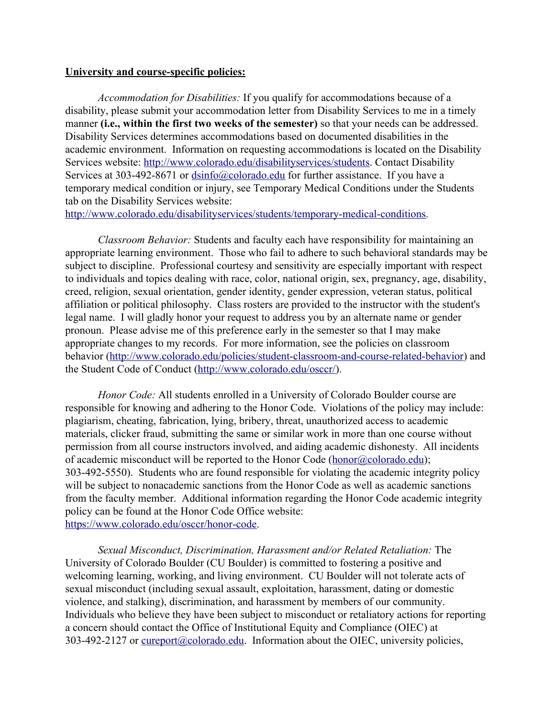#### **University and course-specific policies:**

*Accommodation for Disabilities:* If you qualify for accommodations because of a disability, please submit your accommodation letter from Disability Services to me in a timely manner **(i.e., within the first two weeks of the semester)** so that your needs can be addressed. Disability Services determines accommodations based on documented disabilities in the academic environment. Information on requesting accommodations is located on the Disability Services website: [http://www.colorado.edu/disabilityservices/students.](http://www.colorado.edu/disabilityservices/students) Contact Disability Services at 303-492-8671 or [dsinfo@colorado.edu](mailto:dsinfo@colorado.edu) for further assistance. If you have a temporary medical condition or injury, see Temporary Medical Conditions under the Students tab on the Disability Services website:

[http://www.colorado.edu/disabilityservices/students/temporary-medical-conditions.](http://www.colorado.edu/disabilityservices/students/temporary-medical-conditions)

*Classroom Behavior:* Students and faculty each have responsibility for maintaining an appropriate learning environment. Those who fail to adhere to such behavioral standards may be subject to discipline. Professional courtesy and sensitivity are especially important with respect to individuals and topics dealing with race, color, national origin, sex, pregnancy, age, disability, creed, religion, sexual orientation, gender identity, gender expression, veteran status, political affiliation or political philosophy. Class rosters are provided to the instructor with the student's legal name. I will gladly honor your request to address you by an alternate name or gender pronoun. Please advise me of this preference early in the semester so that I may make appropriate changes to my records. For more information, see the policies on classroom behavior ([http://www.colorado.edu/policies/student-classroom-and-course-related-behavior\)](http://www.colorado.edu/policies/student-classroom-and-course-related-behavior) and the Student Code of Conduct [\(http://www.colorado.edu/osccr/](http://www.colorado.edu/osccr/)).

*Honor Code:* All students enrolled in a University of Colorado Boulder course are responsible for knowing and adhering to the Honor Code. Violations of the policy may include: plagiarism, cheating, fabrication, lying, bribery, threat, unauthorized access to academic materials, clicker fraud, submitting the same or similar work in more than one course without permission from all course instructors involved, and aiding academic dishonesty. All incidents of academic misconduct will be reported to the Honor Code ([honor@colorado.edu\)](mailto:honor@colorado.edu); 303-492-5550). Students who are found responsible for violating the academic integrity policy will be subject to nonacademic sanctions from the Honor Code as well as academic sanctions from the faculty member. Additional information regarding the Honor Code academic integrity policy can be found at the Honor Code Office website: [https://www.colorado.edu/osccr/honor-code.](https://www.colorado.edu/osccr/honor-code)

*Sexual Misconduct, Discrimination, Harassment and/or Related Retaliation:* The University of Colorado Boulder (CU Boulder) is committed to fostering a positive and welcoming learning, working, and living environment. CU Boulder will not tolerate acts of sexual misconduct (including sexual assault, exploitation, harassment, dating or domestic violence, and stalking), discrimination, and harassment by members of our community. Individuals who believe they have been subject to misconduct or retaliatory actions for reporting a concern should contact the Office of Institutional Equity and Compliance (OIEC) at 303-492-2127 or [cureport@colorado.edu](mailto:cureport@colorado.edu). Information about the OIEC, university policies,